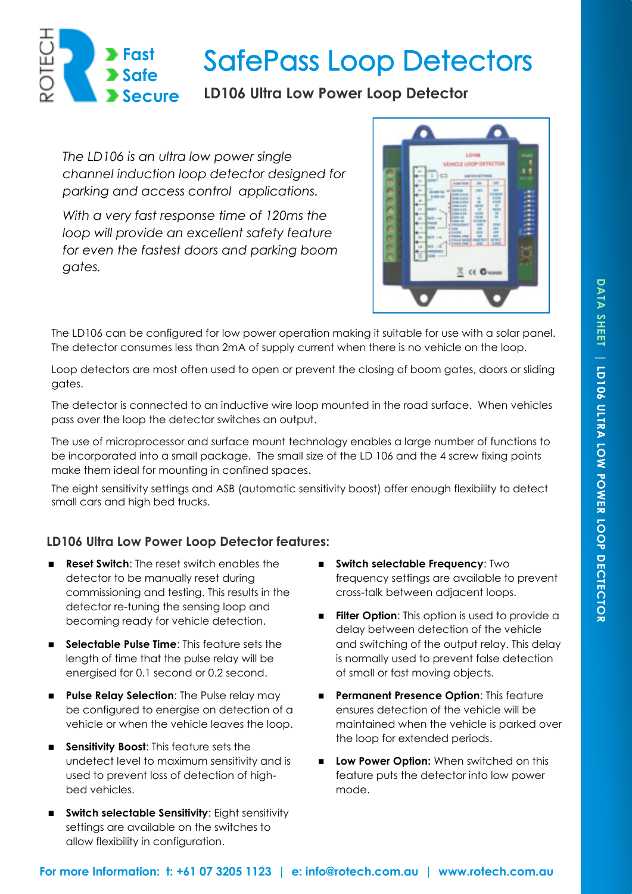

# **SafePass Loop Detectors**

## **LD106 Ultra Low Power Loop Detector**

*The LD106 is an ultra low power single channel induction loop detector designed for parking and access control applications.* 

*With a very fast response time of 120ms the loop will provide an excellent safety feature for even the fastest doors and parking boom gates.* 



The LD106 can be configured for low power operation making it suitable for use with a solar panel. The detector consumes less than 2mA of supply current when there is no vehicle on the loop.

Loop detectors are most often used to open or prevent the closing of boom gates, doors or sliding gates.

The detector is connected to an inductive wire loop mounted in the road surface. When vehicles pass over the loop the detector switches an output.

The use of microprocessor and surface mount technology enables a large number of functions to be incorporated into a small package. The small size of the LD 106 and the 4 screw fixing points make them ideal for mounting in confined spaces.

The eight sensitivity settings and ASB (automatic sensitivity boost) offer enough flexibility to detect small cars and high bed trucks.

### **LD106 Ultra Low Power Loop Detector features:**

- **Reset Switch:** The reset switch enables the detector to be manually reset during commissioning and testing. This results in the detector re-tuning the sensing loop and becoming ready for vehicle detection.
- **Selectable Pulse Time**: This feature sets the length of time that the pulse relay will be energised for 0.1 second or 0.2 second.
- **Pulse Relay Selection:** The Pulse relay may be configured to energise on detection of a vehicle or when the vehicle leaves the loop.
- **Sensitivity Boost:** This feature sets the undetect level to maximum sensitivity and is used to prevent loss of detection of highbed vehicles.
- **Switch selectable Sensitivity**: Eight sensitivity settings are available on the switches to allow flexibility in configuration.
- **Switch selectable Frequency**: Two frequency settings are available to prevent cross-talk between adjacent loops.
- **Filter Option:** This option is used to provide a delay between detection of the vehicle and switching of the output relay. This delay is normally used to prevent false detection of small or fast moving objects.
- **Permanent Presence Option: This feature** ensures detection of the vehicle will be maintained when the vehicle is parked over the loop for extended periods.
- **Low Power Option:** When switched on this feature puts the detector into low power mode.